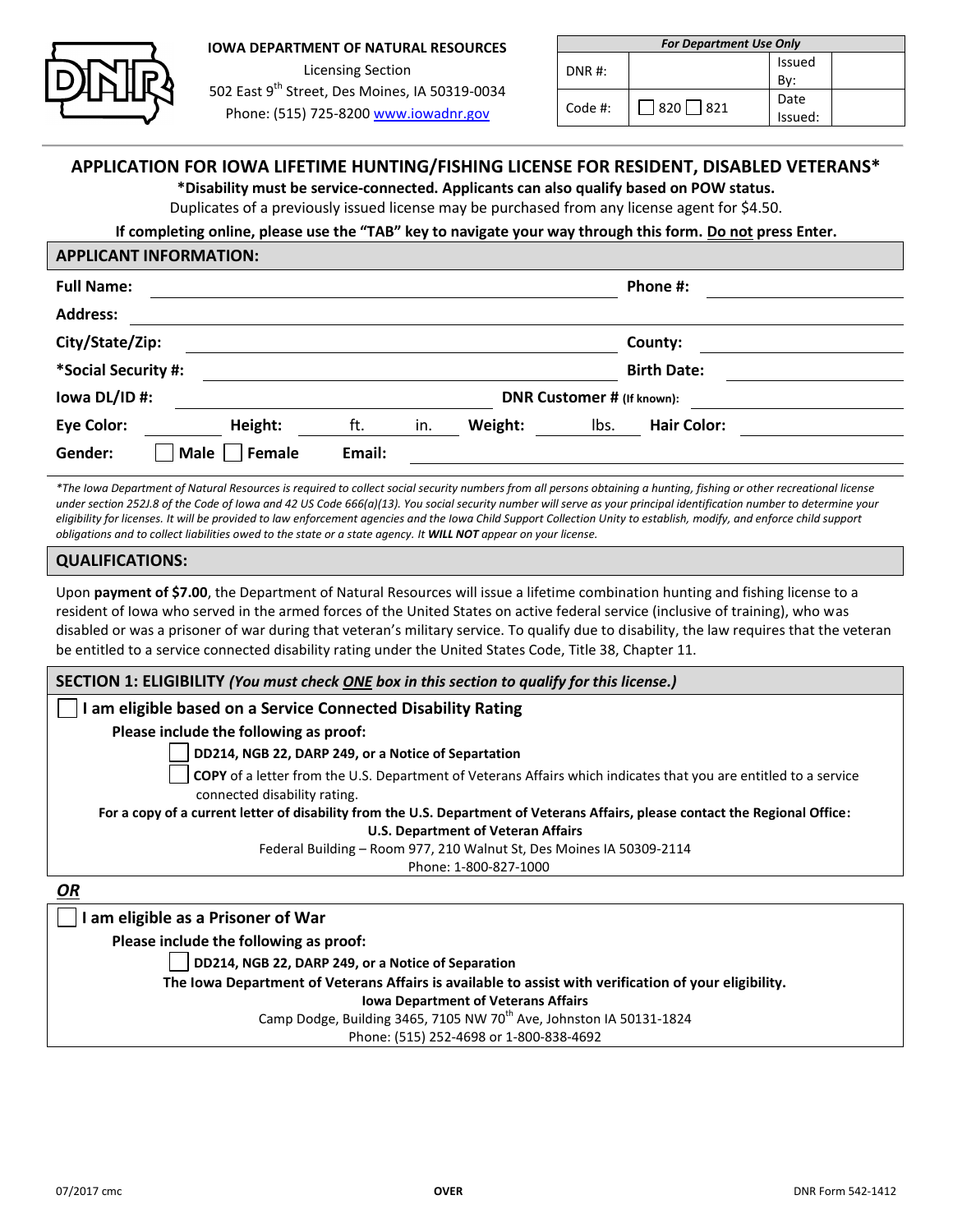

# **IOWA DEPARTMENT OF NATURAL RESOURCES** Licensing Section 502 East 9<sup>th</sup> Street, Des Moines, IA 50319-0034

Phone: (515) 725-8200 [www.iowadnr.gov](http://www.iowadnr.gov/)

| <b>For Department Use Only</b> |             |               |  |  |  |  |  |
|--------------------------------|-------------|---------------|--|--|--|--|--|
| $DNR$ #:                       |             | <b>Issued</b> |  |  |  |  |  |
|                                |             | Bv:           |  |  |  |  |  |
| Code #:                        | 820     821 | Date          |  |  |  |  |  |
|                                |             | Issued:       |  |  |  |  |  |

# **APPLICATION FOR IOWA LIFETIME HUNTING/FISHING LICENSE FOR RESIDENT, DISABLED VETERANS\***

**\*Disability must be service-connected. Applicants can also qualify based on POW status.** 

Duplicates of a previously issued license may be purchased from any license agent for \$4.50.

## **If completing online, please use the "TAB" key to navigate your way through this form. Do not press Enter.**

|                     | <b>APPLICANT INFORMATION:</b> |        |     |                            |      |                    |  |
|---------------------|-------------------------------|--------|-----|----------------------------|------|--------------------|--|
| <b>Full Name:</b>   |                               |        |     |                            |      | Phone #:           |  |
| <b>Address:</b>     |                               |        |     |                            |      |                    |  |
| City/State/Zip:     |                               |        |     |                            |      | County:            |  |
| *Social Security #: |                               |        |     |                            |      | <b>Birth Date:</b> |  |
| lowa DL/ID #:       |                               |        |     | DNR Customer # (If known): |      |                    |  |
| <b>Eye Color:</b>   | Height:                       | ft.    | in. | Weight:                    | Ibs. | <b>Hair Color:</b> |  |
| Gender:             | <b>Male</b><br>Female         | Email: |     |                            |      |                    |  |
|                     |                               |        |     |                            |      |                    |  |

*\*The Iowa Department of Natural Resources is required to collect social security numbers from all persons obtaining a hunting, fishing or other recreational license under section 252J.8 of the Code of Iowa and 42 US Code 666(a)(13). You social security number will serve as your principal identification number to determine your eligibility for licenses. It will be provided to law enforcement agencies and the Iowa Child Support Collection Unity to establish, modify, and enforce child support obligations and to collect liabilities owed to the state or a state agency. It WILL NOT appear on your license.*

#### **QUALIFICATIONS:**

Upon **payment of \$7.00**, the Department of Natural Resources will issue a lifetime combination hunting and fishing license to a resident of Iowa who served in the armed forces of the United States on active federal service (inclusive of training), who was disabled or was a prisoner of war during that veteran's military service. To qualify due to disability, the law requires that the veteran be entitled to a service connected disability rating under the United States Code, Title 38, Chapter 11.

| SECTION 1: ELIGIBILITY (You must check ONE box in this section to qualify for this license.)                                                            |  |  |  |  |  |
|---------------------------------------------------------------------------------------------------------------------------------------------------------|--|--|--|--|--|
| I am eligible based on a Service Connected Disability Rating                                                                                            |  |  |  |  |  |
| Please include the following as proof:                                                                                                                  |  |  |  |  |  |
| DD214, NGB 22, DARP 249, or a Notice of Separtation                                                                                                     |  |  |  |  |  |
| <b>COPY</b> of a letter from the U.S. Department of Veterans Affairs which indicates that you are entitled to a service<br>connected disability rating. |  |  |  |  |  |
| For a copy of a current letter of disability from the U.S. Department of Veterans Affairs, please contact the Regional Office:                          |  |  |  |  |  |
| <b>U.S. Department of Veteran Affairs</b>                                                                                                               |  |  |  |  |  |
| Federal Building - Room 977, 210 Walnut St, Des Moines IA 50309-2114                                                                                    |  |  |  |  |  |
| Phone: 1-800-827-1000                                                                                                                                   |  |  |  |  |  |
| OR                                                                                                                                                      |  |  |  |  |  |
| am eligible as a Prisoner of War                                                                                                                        |  |  |  |  |  |
| Please include the following as proof:                                                                                                                  |  |  |  |  |  |
| DD214, NGB 22, DARP 249, or a Notice of Separation                                                                                                      |  |  |  |  |  |
| The Iowa Department of Veterans Affairs is available to assist with verification of your eligibility.                                                   |  |  |  |  |  |

**Iowa Department of Veterans Affairs**

Camp Dodge, Building 3465, 7105 NW 70<sup>th</sup> Ave, Johnston IA 50131-1824

Phone: (515) 252-4698 or 1-800-838-4692